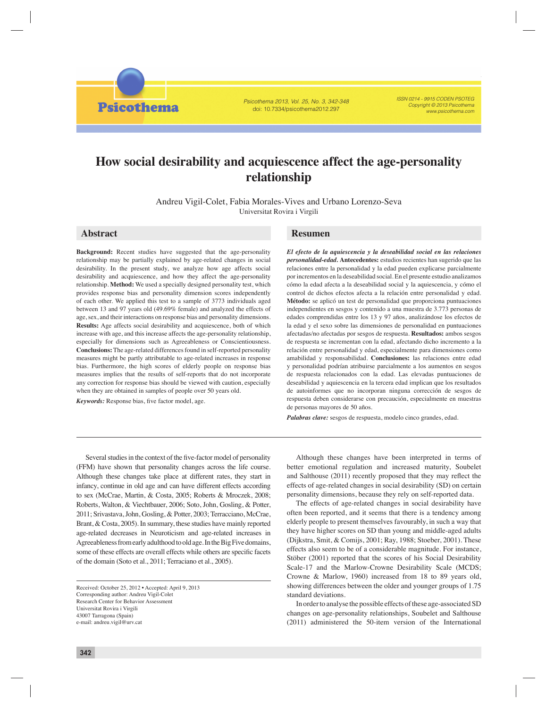*Psicothema 2013, Vol. 25, No. 3, 342-348* doi: 10.7334/psicothema2012.297

*ISSN 0214 - 9915 CODEN PSOTEG Copyright © 2013 Psicothema www.psicothema.com*

# **How social desirability and acquiescence affect the age-personality relationship**

Andreu Vigil-Colet, Fabia Morales-Vives and Urbano Lorenzo-Seva Universitat Rovira i Virgili

# **Abstract**

**Background:** Recent studies have suggested that the age-personality relationship may be partially explained by age-related changes in social desirability. In the present study, we analyze how age affects social desirability and acquiescence, and how they affect the age-personality relationship. **Method:** We used a specially designed personality test, which provides response bias and personality dimension scores independently of each other. We applied this test to a sample of 3773 individuals aged between 13 and 97 years old (49.69% female) and analyzed the effects of age, sex, and their interactions on response bias and personality dimensions. **Results:** Age affects social desirability and acquiescence, both of which increase with age, and this increase affects the age-personality relationship, especially for dimensions such as Agreeableness or Conscientiousness. **Conclusions:** The age-related differences found in self-reported personality measures might be partly attributable to age-related increases in response bias. Furthermore, the high scores of elderly people on response bias measures implies that the results of self-reports that do not incorporate any correction for response bias should be viewed with caution, especially when they are obtained in samples of people over 50 years old.

*Keywords:* Response bias, five factor model, age.

**Psicothema** 

## **Resumen**

*El efecto de la aquiescencia y la deseabilidad social en las relaciones personalidad-edad.* **Antecedentes:** estudios recientes han sugerido que las relaciones entre la personalidad y la edad pueden explicarse parcialmente por incrementos en la deseabilidad social. En el presente estudio analizamos cómo la edad afecta a la deseabilidad social y la aquiescencia, y cómo el control de dichos efectos afecta a la relación entre personalidad y edad. **Método:** se aplicó un test de personalidad que proporciona puntuaciones independientes en sesgos y contenido a una muestra de 3.773 personas de edades comprendidas entre los 13 y 97 años, analizándose los efectos de la edad y el sexo sobre las dimensiones de personalidad en puntuaciones afectadas/no afectadas por sesgos de respuesta. **Resultados:** ambos sesgos de respuesta se incrementan con la edad, afectando dicho incremento a la relación entre personalidad y edad, especialmente para dimensiones como amabilidad y responsabilidad. **Conclusiones:** las relaciones entre edad y personalidad podrían atribuirse parcialmente a los aumentos en sesgos de respuesta relacionados con la edad. Las elevadas puntuaciones de deseabilidad y aquiescencia en la tercera edad implican que los resultados de autoinformes que no incorporan ninguna corrección de sesgos de respuesta deben considerarse con precaución, especialmente en muestras de personas mayores de 50 años.

*Palabras clave:* sesgos de respuesta, modelo cinco grandes, edad.

Several studies in the context of the five-factor model of personality (FFM) have shown that personality changes across the life course. Although these changes take place at different rates, they start in infancy, continue in old age and can have different effects according to sex (McCrae, Martin, & Costa, 2005; Roberts & Mroczek, 2008; Roberts, Walton, & Viechtbauer, 2006; Soto, John, Gosling, & Potter, 2011; Srivastava, John, Gosling, & Potter, 2003; Terracciano, McCrae, Brant, & Costa, 2005). In summary, these studies have mainly reported age-related decreases in Neuroticism and age-related increases in Agreeableness from early adulthood to old age. In the Big Five domains, some of these effects are overall effects while others are specific facets of the domain (Soto et al., 2011; Terraciano et al., 2005).

Although these changes have been interpreted in terms of better emotional regulation and increased maturity, Soubelet and Salthouse (2011) recently proposed that they may reflect the effects of age-related changes in social desirability (SD) on certain personality dimensions, because they rely on self-reported data.

The effects of age-related changes in social desirability have often been reported, and it seems that there is a tendency among elderly people to present themselves favourably, in such a way that they have higher scores on SD than young and middle-aged adults (Dijkstra, Smit, & Comijs, 2001; Ray, 1988; Stoeber, 2001). These effects also seem to be of a considerable magnitude. For instance, Stöber (2001) reported that the scores of his Social Desirability Scale-17 and the Marlow-Crowne Desirability Scale (MCDS; Crowne & Marlow, 1960) increased from 18 to 89 years old, showing differences between the older and younger groups of 1.75 standard deviations.

In order to analyse the possible effects of these age-associated SD changes on age-personality relationships, Soubelet and Salthouse (2011) administered the 50-item version of the International

Received: October 25, 2012 • Accepted: April 9, 2013 Corresponding author: Andreu Vigil-Colet Research Center for Behavior Assessment Universitat Rovira i Virgili 43007 Tarragona (Spain) e-mail: andreu.vigil@urv.cat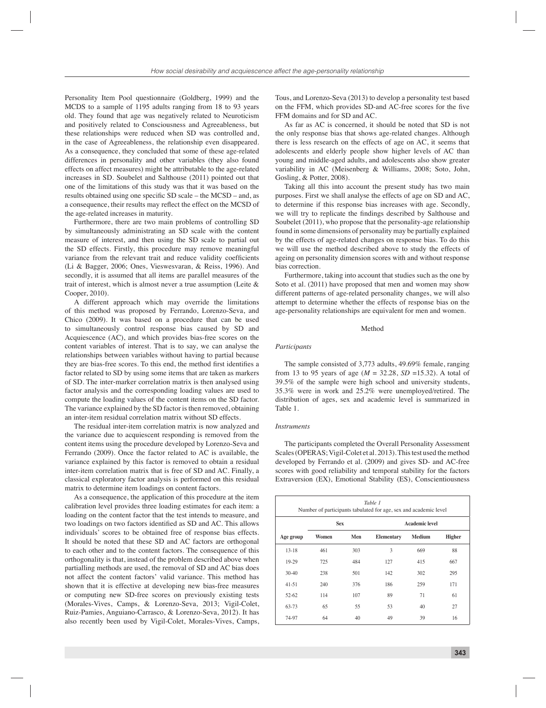Personality Item Pool questionnaire (Goldberg, 1999) and the MCDS to a sample of 1195 adults ranging from 18 to 93 years old. They found that age was negatively related to Neuroticism and positively related to Consciousness and Agreeableness, but these relationships were reduced when SD was controlled and, in the case of Agreeableness, the relationship even disappeared. As a consequence, they concluded that some of these age-related differences in personality and other variables (they also found effects on affect measures) might be attributable to the age-related increases in SD. Soubelet and Salthouse (2011) pointed out that one of the limitations of this study was that it was based on the results obtained using one specific SD scale – the MCSD – and, as a consequence, their results may reflect the effect on the MCSD of the age-related increases in maturity.

Furthermore, there are two main problems of controlling SD by simultaneously administrating an SD scale with the content measure of interest, and then using the SD scale to partial out the SD effects. Firstly, this procedure may remove meaningful variance from the relevant trait and reduce validity coefficients (Li & Bagger, 2006; Ones, Vieswesvaran, & Reiss, 1996). And secondly, it is assumed that all items are parallel measures of the trait of interest, which is almost never a true assumption (Leite & Cooper, 2010).

A different approach which may override the limitations of this method was proposed by Ferrando, Lorenzo-Seva, and Chico (2009). It was based on a procedure that can be used to simultaneously control response bias caused by SD and Acquiescence (AC), and which provides bias-free scores on the content variables of interest. That is to say, we can analyse the relationships between variables without having to partial because they are bias-free scores. To this end, the method first identifies a factor related to SD by using some items that are taken as markers of SD. The inter-marker correlation matrix is then analysed using factor analysis and the corresponding loading values are used to compute the loading values of the content items on the SD factor. The variance explained by the SD factor is then removed, obtaining an inter-item residual correlation matrix without SD effects.

The residual inter-item correlation matrix is now analyzed and the variance due to acquiescent responding is removed from the content items using the procedure developed by Lorenzo-Seva and Ferrando (2009). Once the factor related to AC is available, the variance explained by this factor is removed to obtain a residual inter-item correlation matrix that is free of SD and AC. Finally, a classical exploratory factor analysis is performed on this residual matrix to determine item loadings on content factors.

As a consequence, the application of this procedure at the item calibration level provides three loading estimates for each item: a loading on the content factor that the test intends to measure, and two loadings on two factors identified as SD and AC. This allows individuals' scores to be obtained free of response bias effects. It should be noted that these SD and AC factors are orthogonal to each other and to the content factors. The consequence of this orthogonality is that, instead of the problem described above when partialling methods are used, the removal of SD and AC bias does not affect the content factors' valid variance. This method has shown that it is effective at developing new bias-free measures or computing new SD-free scores on previously existing tests (Morales-Vives, Camps, & Lorenzo-Seva, 2013; Vigil-Colet, Ruiz-Pamies, Anguiano-Carrasco, & Lorenzo-Seva, 2012). It has also recently been used by Vigil-Colet, Morales-Vives, Camps,

Tous, and Lorenzo-Seva (2013) to develop a personality test based on the FFM, which provides SD-and AC-free scores for the five FFM domains and for SD and AC.

As far as AC is concerned, it should be noted that SD is not the only response bias that shows age-related changes. Although there is less research on the effects of age on AC, it seems that adolescents and elderly people show higher levels of AC than young and middle-aged adults, and adolescents also show greater variability in AC (Meisenberg & Williams, 2008; Soto, John, Gosling, & Potter, 2008).

Taking all this into account the present study has two main purposes. First we shall analyse the effects of age on SD and AC, to determine if this response bias increases with age. Secondly, we will try to replicate the findings described by Salthouse and Soubelet (2011), who propose that the personality-age relationship found in some dimensions of personality may be partially explained by the effects of age-related changes on response bias. To do this we will use the method described above to study the effects of ageing on personality dimension scores with and without response bias correction.

Furthermore, taking into account that studies such as the one by Soto et al. (2011) have proposed that men and women may show different patterns of age-related personality changes, we will also attempt to determine whether the effects of response bias on the age-personality relationships are equivalent for men and women.

## Method

#### *Participants*

The sample consisted of 3,773 adults, 49.69% female, ranging from 13 to 95 years of age ( $M = 32.28$ ,  $SD = 15.32$ ). A total of 39.5% of the sample were high school and university students, 35.3% were in work and 25.2% were unemployed/retired. The distribution of ages, sex and academic level is summarized in Table 1.

#### *Instruments*

The participants completed the Overall Personality Assessment Scales (OPERAS; Vigil-Colet et al. 2013). This test used the method developed by Ferrando et al. (2009) and gives SD- and AC-free scores with good reliability and temporal stability for the factors Extraversion (EX), Emotional Stability (ES), Conscientiousness

| Table 1<br>Number of participants tabulated for age, sex and academic level |            |     |                       |               |               |  |  |  |
|-----------------------------------------------------------------------------|------------|-----|-----------------------|---------------|---------------|--|--|--|
|                                                                             | <b>Sex</b> |     | <b>Academic level</b> |               |               |  |  |  |
| Age group                                                                   | Women      | Men | <b>Elementary</b>     | <b>Medium</b> | <b>Higher</b> |  |  |  |
| $13 - 18$                                                                   | 461        | 303 | 3                     | 669           | 88            |  |  |  |
| 19-29                                                                       | 725        | 484 | 127                   | 415           | 667           |  |  |  |
| $30-40$                                                                     | 238        | 501 | 142                   | 302           | 295           |  |  |  |
| $41 - 51$                                                                   | 240        | 376 | 186                   | 259           | 171           |  |  |  |
| $52-62$                                                                     | 114        | 107 | 89                    | 71            | 61            |  |  |  |
| 63-73                                                                       | 65         | 55  | 53                    | 40            | 27            |  |  |  |
| 74-97                                                                       | 64         | 40  | 49                    | 39            | 16            |  |  |  |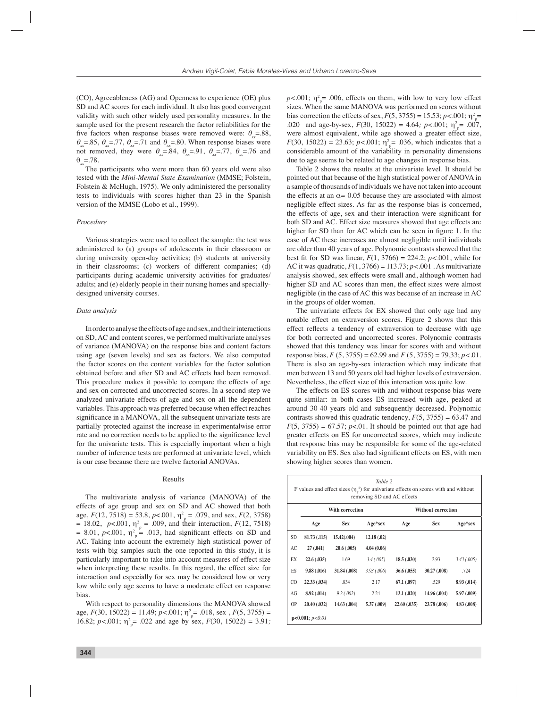(CO), Agreeableness (AG) and Openness to experience (OE) plus SD and AC scores for each individual. It also has good convergent validity with such other widely used personality measures. In the sample used for the present research the factor reliabilities for the five factors when response biases were removed were:  $\theta = .88$ ,  $\theta_{\rm rx}$ =.85,  $\theta_{\rm rx}$ =.77,  $\theta_{\rm rx}$ =.71 and  $\theta_{\rm rx}$ =.80. When response biases were not removed, they were  $\theta_{vr} = .84$ ,  $\theta_{vr} = .91$ ,  $\theta_{vr} = .77$ ,  $\theta_{vr} = .76$  and θ*xx*=.78.

The participants who were more than 60 years old were also tested with the *Mini-Mental State Examination* (MMSE; Folstein, Folstein & McHugh, 1975). We only administered the personality tests to individuals with scores higher than 23 in the Spanish version of the MMSE (Lobo et al., 1999).

## *Procedure*

Various strategies were used to collect the sample: the test was administered to (a) groups of adolescents in their classroom or during university open-day activities; (b) students at university in their classrooms; (c) workers of different companies; (d) participants during academic university activities for graduates/ adults; and (e) elderly people in their nursing homes and speciallydesigned university courses.

#### *Data analysis*

In order to analyse the effects of age and sex, and their interactions on SD, AC and content scores, we performed multivariate analyses of variance (MANOVA) on the response bias and content factors using age (seven levels) and sex as factors. We also computed the factor scores on the content variables for the factor solution obtained before and after SD and AC effects had been removed. This procedure makes it possible to compare the effects of age and sex on corrected and uncorrected scores. In a second step we analyzed univariate effects of age and sex on all the dependent variables. This approach was preferred because when effect reaches significance in a MANOVA, all the subsequent univariate tests are partially protected against the increase in experimentalwise error rate and no correction needs to be applied to the significance level for the univariate tests. This is especially important when a high number of inference tests are performed at univariate level, which is our case because there are twelve factorial ANOVAs.

#### Results

The multivariate analysis of variance (MANOVA) of the effects of age group and sex on SD and AC showed that both age,  $F(12, 7518) = 53.8$ ,  $p < .001$ ,  $\eta_p^2 = .079$ , and sex,  $F(2, 3758)$  $= 18.02, p<.001, \eta^2_{\text{p}} = .009, \text{ and their interaction}, F(12, 7518)$  $= 8.01$ ,  $p<.001$ ,  $\eta_p^2 = .013$ , had significant effects on SD and AC. Taking into account the extremely high statistical power of tests with big samples such the one reported in this study, it is particularly important to take into account measures of effect size when interpreting these results. In this regard, the effect size for interaction and especially for sex may be considered low or very low while only age seems to have a moderate effect on response bias.

With respect to personality dimensions the MANOVA showed age,  $F(30, 15022) = 11.49$ ;  $p < .001$ ;  $\eta^2 = .018$ , sex,  $F(5, 3755) =$ 16.82;  $p < .001$ ;  $\eta^2 = .022$  and age by sex,  $F(30, 15022) = 3.91$ ;

 $p<.001$ ;  $\eta^2$ <sub>p</sub> = .006, effects on them, with low to very low effect sizes. When the same MANOVA was performed on scores without bias correction the effects of sex,  $F(5, 3755) = 15.53$ ;  $p < .001$ ;  $\eta_p^2 =$ .020 and age-by-sex,  $F(30, 15022) = 4.64$ ;  $p < .001$ ;  $\eta_{\text{p}}^2 = .007$ , were almost equivalent, while age showed a greater effect size, *F*(30, 15022) = 23.63; *p*<.001;  $\eta_p^2$  = .036, which indicates that a considerable amount of the variability in personality dimensions due to age seems to be related to age changes in response bias.

Table 2 shows the results at the univariate level. It should be pointed out that because of the high statistical power of ANOVA in a sample of thousands of individuals we have not taken into account the effects at an  $\alpha$ = 0.05 because they are associated with almost negligible effect sizes. As far as the response bias is concerned, the effects of age, sex and their interaction were significant for both SD and AC. Effect size measures showed that age effects are higher for SD than for AC which can be seen in figure 1. In the case of AC these increases are almost negligible until individuals are older than 40 years of age. Polynomic contrasts showed that the best fit for SD was linear,  $F(1, 3766) = 224.2$ ;  $p < .001$ , while for AC it was quadratic, *F*(1, 3766) = 113.73; *p<*.001 . As multivariate analysis showed, sex effects were small and, although women had higher SD and AC scores than men, the effect sizes were almost negligible (in the case of AC this was because of an increase in AC in the groups of older women.

The univariate effects for EX showed that only age had any notable effect on extraversion scores. Figure 2 shows that this effect reflects a tendency of extraversion to decrease with age for both corrected and uncorrected scores. Polynomic contrasts showed that this tendency was linear for scores with and without response bias, *F* (5, 3755) = 62.99 and *F* (5, 3755) = 79,33; *p<*.01. There is also an age-by-sex interaction which may indicate that men between 13 and 50 years old had higher levels of extraversion. Nevertheless, the effect size of this interaction was quite low.

The effects on ES scores with and without response bias were quite similar: in both cases ES increased with age, peaked at around 30-40 years old and subsequently decreased. Polynomic contrasts showed this quadratic tendency, *F*(5, 3755) = 63.47 and  $F(5, 3755) = 67.57$ ;  $p<0.01$ . It should be pointed out that age had greater effects on ES for uncorrected scores, which may indicate that response bias may be responsible for some of the age-related variability on ES. Sex also had significant effects on ES, with men showing higher scores than women.

|                      | Table 2<br>F values and effect sizes $(\eta^2)$ for univariate effects on scores with and without<br>removing SD and AC effects |              |             |                           |              |             |  |  |  |
|----------------------|---------------------------------------------------------------------------------------------------------------------------------|--------------|-------------|---------------------------|--------------|-------------|--|--|--|
|                      | With correction                                                                                                                 |              |             | <b>Without correction</b> |              |             |  |  |  |
|                      | Age                                                                                                                             | <b>Sex</b>   | Age*sex     | Age                       | <b>Sex</b>   | Age*sex     |  |  |  |
| <b>SD</b>            | 81.73(.115)                                                                                                                     | 15.42(.004)  | 12.18(.02)  |                           |              |             |  |  |  |
| AC                   | 27(.041)                                                                                                                        | 20.6(.005)   | 4.04(0.06)  |                           |              |             |  |  |  |
| EX                   | 22.6(.035)                                                                                                                      | 1.69         | 3.4(.005)   | 18.5(.030)                | 2.93         | 3.43(.005)  |  |  |  |
| ES                   | 9.88(.016)                                                                                                                      | 31.84 (.008) | 3.93(0.006) | 36.6(.055)                | 30.27(0.008) | .724        |  |  |  |
| CO.                  | 22.33(.034)                                                                                                                     | .834         | 2.17        | 67.1(.097)                | .529         | 8.93 (.014) |  |  |  |
| AG                   | 8.92 (.014)                                                                                                                     | 9.2(0.002)   | 2.24        | 13.1(0.020)               | 14.96 (.004) | 5.97 (.009) |  |  |  |
| <b>OP</b>            | 20.40 (.032)                                                                                                                    | 14.63(0.004) | 5.37(0.009) | 22.60(.035)               | 23.78 (.006) | 4.83 (.008) |  |  |  |
| $p<0.001$ ; $p<0.01$ |                                                                                                                                 |              |             |                           |              |             |  |  |  |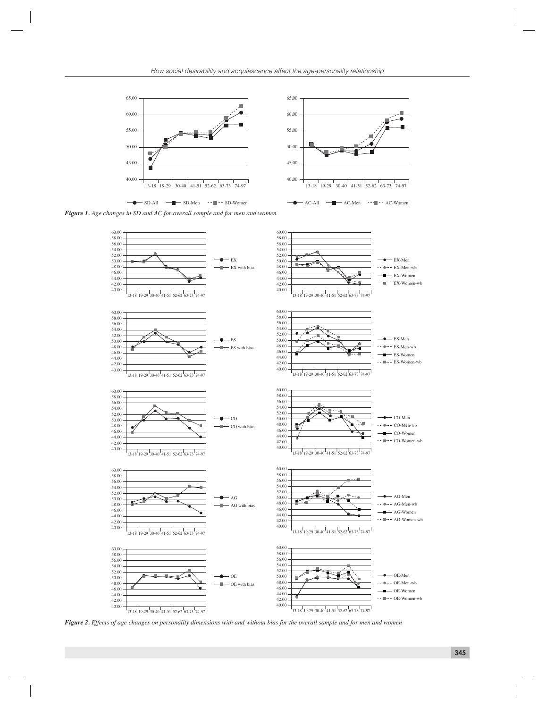



*Figure 1. Age changes in SD and AC for overall sample and for men and women*



*Figure 2. Effects of age changes on personality dimensions with and without bias for the overall sample and for men and women*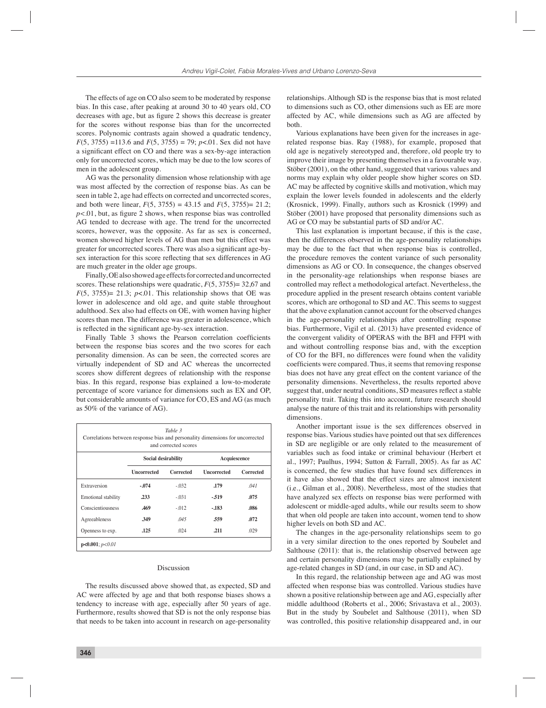The effects of age on CO also seem to be moderated by response bias. In this case, after peaking at around 30 to 40 years old, CO decreases with age, but as figure 2 shows this decrease is greater for the scores without response bias than for the uncorrected scores. Polynomic contrasts again showed a quadratic tendency,  $F(5, 3755) = 113.6$  and  $F(5, 3755) = 79$ ; *p*<.01. Sex did not have a significant effect on CO and there was a sex-by-age interaction only for uncorrected scores, which may be due to the low scores of men in the adolescent group.

AG was the personality dimension whose relationship with age was most affected by the correction of response bias. As can be seen in table 2, age had effects on corrected and uncorrected scores, and both were linear,  $F(5, 3755) = 43.15$  and  $F(5, 3755) = 21.2$ ;  $p<.01$ , but, as figure 2 shows, when response bias was controlled AG tended to decrease with age. The trend for the uncorrected scores, however, was the opposite. As far as sex is concerned, women showed higher levels of AG than men but this effect was greater for uncorrected scores. There was also a significant age-bysex interaction for this score reflecting that sex differences in AG are much greater in the older age groups.

Finally, OE also showed age effects for corrected and uncorrected scores. These relationships were quadratic, *F*(5, 3755)= 32,67 and  $F(5, 3755) = 21.3$ ;  $p<0.01$ . This relationship shows that OE was lower in adolescence and old age, and quite stable throughout adulthood. Sex also had effects on OE, with women having higher scores than men. The difference was greater in adolescence, which is reflected in the significant age-by-sex interaction.

Finally Table 3 shows the Pearson correlation coefficients between the response bias scores and the two scores for each personality dimension. As can be seen, the corrected scores are virtually independent of SD and AC whereas the uncorrected scores show different degrees of relationship with the response bias. In this regard, response bias explained a low-to-moderate percentage of score variance for dimensions such as EX and OP, but considerable amounts of variance for CO, ES and AG (as much as 50% of the variance of AG).

| Table 3<br>Correlations between response bias and personality dimensions for uncorrected<br>and corrected scores |                     |           |                    |           |  |  |  |
|------------------------------------------------------------------------------------------------------------------|---------------------|-----------|--------------------|-----------|--|--|--|
|                                                                                                                  | Social desirability |           | Acquiescence       |           |  |  |  |
|                                                                                                                  | Uncorrected         | Corrected | <b>Uncorrected</b> | Corrected |  |  |  |
| Extraversion                                                                                                     | $-.074$             | $-0.32$   | .179               | .041      |  |  |  |
| Emotional stability                                                                                              | .233                | $-.031$   | $-519$             | .075      |  |  |  |
| Conscientiousness                                                                                                | .469                | $-0.012$  | $-183$             | .086      |  |  |  |
| Agreeableness                                                                                                    | .349                | .045      | .559               | .072      |  |  |  |
| Openness to exp.                                                                                                 | .125                | .024      | .211               | .029      |  |  |  |
| $p<0.001$ ; $p<0.01$                                                                                             |                     |           |                    |           |  |  |  |

## Discussion

The results discussed above showed that, as expected, SD and AC were affected by age and that both response biases shows a tendency to increase with age, especially after 50 years of age. Furthermore, results showed that SD is not the only response bias that needs to be taken into account in research on age-personality

relationships. Although SD is the response bias that is most related to dimensions such as CO, other dimensions such as EE are more affected by AC, while dimensions such as AG are affected by both.

Various explanations have been given for the increases in agerelated response bias. Ray (1988), for example, proposed that old age is negatively stereotyped and, therefore, old people try to improve their image by presenting themselves in a favourable way. Stöber (2001), on the other hand, suggested that various values and norms may explain why older people show higher scores on SD. AC may be affected by cognitive skills and motivation, which may explain the lower levels founded in adolescents and the elderly (Krosnick, 1999). Finally, authors such as Krosnick (1999) and Stöber (2001) have proposed that personality dimensions such as AG or CO may be substantial parts of SD and/or AC.

This last explanation is important because, if this is the case, then the differences observed in the age-personality relationships may be due to the fact that when response bias is controlled, the procedure removes the content variance of such personality dimensions as AG or CO. In consequence, the changes observed in the personality-age relationships when response biases are controlled may reflect a methodological artefact. Nevertheless, the procedure applied in the present research obtains content variable scores, which are orthogonal to SD and AC. This seems to suggest that the above explanation cannot account for the observed changes in the age-personality relationships after controlling response bias. Furthermore, Vigil et al. (2013) have presented evidence of the convergent validity of OPERAS with the BFI and FFPI with and without controlling response bias and, with the exception of CO for the BFI, no differences were found when the validity coefficients were compared. Thus, it seems that removing response bias does not have any great effect on the content variance of the personality dimensions. Nevertheless, the results reported above suggest that, under neutral conditions, SD measures reflect a stable personality trait. Taking this into account, future research should analyse the nature of this trait and its relationships with personality dimensions.

Another important issue is the sex differences observed in response bias. Various studies have pointed out that sex differences in SD are negligible or are only related to the measurement of variables such as food intake or criminal behaviour (Herbert et al., 1997; Paulhus, 1994; Sutton & Farrall, 2005). As far as AC is concerned, the few studies that have found sex differences in it have also showed that the effect sizes are almost inexistent (i.e., Gilman et al., 2008). Nevertheless, most of the studies that have analyzed sex effects on response bias were performed with adolescent or middle-aged adults, while our results seem to show that when old people are taken into account, women tend to show higher levels on both SD and AC.

The changes in the age-personality relationships seem to go in a very similar direction to the ones reported by Soubelet and Salthouse (2011): that is, the relationship observed between age and certain personality dimensions may be partially explained by age-related changes in SD (and, in our case, in SD and AC).

In this regard, the relationship between age and AG was most affected when response bias was controlled. Various studies have shown a positive relationship between age and AG, especially after middle adulthood (Roberts et al., 2006; Srivastava et al., 2003). But in the study by Soubelet and Salthouse (2011), when SD was controlled, this positive relationship disappeared and, in our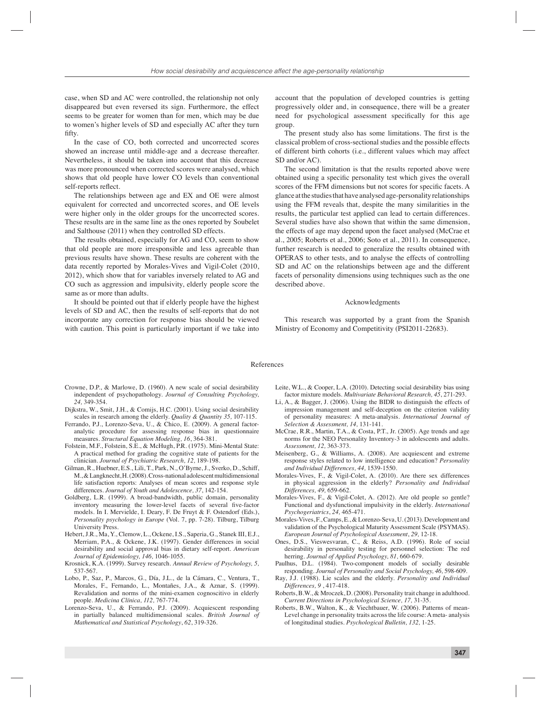case, when SD and AC were controlled, the relationship not only disappeared but even reversed its sign. Furthermore, the effect seems to be greater for women than for men, which may be due to women's higher levels of SD and especially AC after they turn fifty.

In the case of CO, both corrected and uncorrected scores showed an increase until middle-age and a decrease thereafter. Nevertheless, it should be taken into account that this decrease was more pronounced when corrected scores were analysed, which shows that old people have lower CO levels than conventional self-reports reflect.

The relationships between age and EX and OE were almost equivalent for corrected and uncorrected scores, and OE levels were higher only in the older groups for the uncorrected scores. These results are in the same line as the ones reported by Soubelet and Salthouse (2011) when they controlled SD effects.

The results obtained, especially for AG and CO, seem to show that old people are more irresponsible and less agreeable than previous results have shown. These results are coherent with the data recently reported by Morales-Vives and Vigil-Colet (2010, 2012), which show that for variables inversely related to AG and CO such as aggression and impulsivity, elderly people score the same as or more than adults.

It should be pointed out that if elderly people have the highest levels of SD and AC, then the results of self-reports that do not incorporate any correction for response bias should be viewed with caution. This point is particularly important if we take into

account that the population of developed countries is getting progressively older and, in consequence, there will be a greater need for psychological assessment specifically for this age group.

The present study also has some limitations. The first is the classical problem of cross-sectional studies and the possible effects of different birth cohorts (i.e., different values which may affect SD and/or AC).

The second limitation is that the results reported above were obtained using a specific personality test which gives the overall scores of the FFM dimensions but not scores for specific facets. A glance at the studies that have analysed age-personality relationships using the FFM reveals that, despite the many similarities in the results, the particular test applied can lead to certain differences. Several studies have also shown that within the same dimension, the effects of age may depend upon the facet analysed (McCrae et al., 2005; Roberts et al., 2006; Soto et al., 2011). In consequence, further research is needed to generalize the results obtained with OPERAS to other tests, and to analyse the effects of controlling SD and AC on the relationships between age and the different facets of personality dimensions using techniques such as the one described above.

#### Acknowledgments

This research was supported by a grant from the Spanish Ministry of Economy and Competitivity (PSI2011-22683).

#### References

- Crowne, D.P., & Marlowe, D. (1960). A new scale of social desirability independent of psychopathology. *Journal of Consulting Psychology, 24,* 349-354.
- Dijkstra, W., Smit, J.H., & Comijs, H.C. (2001). Using social desirability scales in research among the elderly. *Quality & Quantity 35,* 107-115.
- Ferrando, P.J., Lorenzo-Seva, U., & Chico, E. (2009). A general factoranalytic procedure for assessing response bias in questionnaire measures. *Structural Equation Modeling, 16*, 364-381.
- Folstein, M.F., Folstein, S.E., & McHugh, P.R. (1975). Mini-Mental State: A practical method for grading the cognitive state of patients for the clinician. *Journal of Psychiatric Research, 12,* 189-198.
- Gilman, R., Huebner, E.S., Lili, T., Park, N., O'Byrne, J., Sverko, D., Schiff, M., & Langknecht, H. (2008). Cross-national adolescent multidimensional life satisfaction reports: Analyses of mean scores and response style differences. *Journal of Youth and Adolescence, 37*, 142-154.
- Goldberg, L.R. (1999). A broad-bandwidth, public domain, personality inventory measuring the lower-level facets of several five-factor models. In I. Mervielde, I. Deary, F. De Fruyt & F. Ostendorf (Eds.), *Personality psychology in Europe* (Vol. 7, pp. 7-28). Tilburg, Tilburg University Press.
- Hebert, J.R., Ma, Y., Clemow, L., Ockene, I.S., Saperia, G., Stanek III, E.J., Merriam, P.A., & Ockene, J.K. (1997). Gender differences in social desirability and social approval bias in dietary self-report. *American Journal of Epidemiology, 146,* 1046-1055.
- Krosnick, K.A. (1999). Survey research. *Annual Review of Psychology, 5,*  537-567.
- Lobo, P., Saz, P., Marcos, G., Día, J.L., de la Cámara, C., Ventura, T., Morales, F., Fernando, L., Montañes, J.A., & Aznar, S. (1999). Revalidation and norms of the mini-examen cognoscitivo in elderly people. *Medicina Clínica, 112,* 767-774.
- Lorenzo-Seva, U., & Ferrando, P.J. (2009). Acquiescent responding in partially balanced multidimensional scales. *British Journal of Mathematical and Statistical Psychology*, *62*, 319-326.
- Leite, W.L., & Cooper, L.A. (2010). Detecting social desirability bias using factor mixture models. *Multivariate Behavioral Research, 45*, 271-293.
- Li, A., & Bagger, J. (2006). Using the BIDR to distinguish the effects of impression management and self-deception on the criterion validity of personality measures: A meta-analysis. *International Journal of Selection & Assessment, 14,* 131-141.
- McCrae, R.R., Martin, T.A., & Costa, P.T., Jr. (2005). Age trends and age norms for the NEO Personality Inventory-3 in adolescents and adults. *Assessment, 12,* 363-373.
- Meisenberg, G., & Williams, A. (2008). Are acquiescent and extreme response styles related to low intelligence and education? *Personality and Individual Differences, 44,* 1539-1550.
- Morales-Vives, F., & Vigil-Colet, A. (2010). Are there sex differences in physical aggression in the elderly? *Personality and Individual Differences, 49,* 659-662.
- Morales-Vives, F., & Vigil-Colet, A. (2012). Are old people so gentle? Functional and dysfunctional impulsivity in the elderly. *International Psychogeriatrics*, *24,* 465-471.
- Morales-Vives, F., Camps, E., & Lorenzo-Seva, U. (2013). Development and validation of the Psychological Maturity Assessment Scale (PSYMAS). *European Journal of Psychological Assessment*, *29,* 12-18.
- Ones, D.S., Vieswesvaran, C., & Reiss, A.D. (1996). Role of social desirability in personality testing for personnel selection: The red herring*. Journal of Applied Psychology, 81,* 660-679.
- Paulhus, D.L. (1984). Two-component models of socially desirable responding. *Journal of Personality and Social Psychology, 46,* 598-609.
- Ray, J.J. (1988). Lie scales and the elderly. *Personality and Individual Differences, 9* , 417-418.
- Roberts, B.W., & Mroczek, D. (2008). Personality trait change in adulthood. *Current Directions in Psychological Science, 17,* 31-35.
- Roberts, B.W., Walton, K., & Viechtbauer, W. (2006). Patterns of mean-Level change in personality traits across the life course: A meta- analysis of longitudinal studies. *Psychological Bulletin, 132,* 1-25.